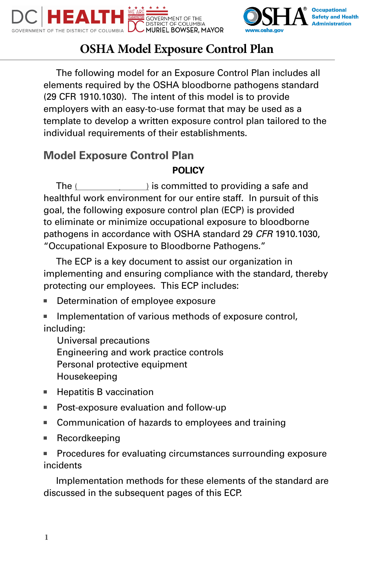



# **OSHA Model Exposure Control Plan**

The following model for an Exposure Control Plan includes all elements required by the OSHA bloodborne pathogens standard (29 CFR 1910.1030). The intent of this model is to provide employers with an easy-to-use format that may be used as a template to develop a written exposure control plan tailored to the individual requirements of their establishments.

# **Model Exposure Control Plan**

# **POLICY**

The  $($   $)$  is committed to providing a safe and healthful work environment for our entire staff. In pursuit of this goal, the following exposure control plan (ECP) is provided to eliminate or minimize occupational exposure to bloodborne pathogens in accordance with OSHA standard 29 *CFR* 1910.1030, "Occupational Exposure to Bloodborne Pathogens."

The ECP is a key document to assist our organization in implementing and ensuring compliance with the standard, thereby protecting our employees. This ECP includes:

- Determination of employee exposure
- Implementation of various methods of exposure control, including:

Universal precautions Engineering and work practice controls Personal protective equipment Housekeeping

- Hepatitis B vaccination
- Post-exposure evaluation and follow-up
- Communication of hazards to employees and training
- Recordkeeping
- Procedures for evaluating circumstances surrounding exposure incidents

Implementation methods for these elements of the standard are discussed in the subsequent pages of this ECP.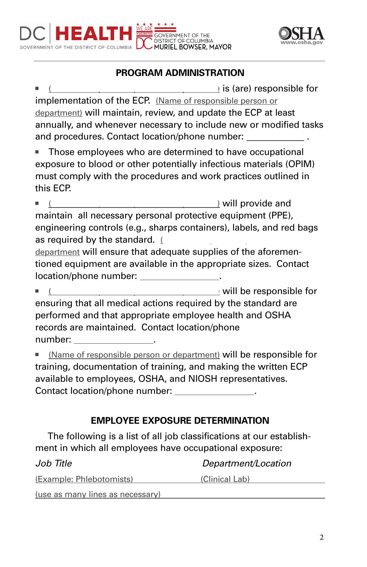

# **PROGRAM ADMINISTRATION**

 $\rightarrow$  is (are) responsible for implementation of the ECP. (Name of responsible person or department) will maintain, review, and update the ECP at least annually, and whenever necessary to include new or modified tasks and procedures. Contact location/phone number:

■ Those employees who are determined to have occupational exposure to blood or other potentially infectious materials (OPIM) must comply with the procedures and work practices outlined in this ECP.

■ (Name of responsible person or department) will provide and maintain all necessary personal protective equipment (PPE), engineering controls (e.g., sharps containers), labels, and red bags as required by the standard. (

department will ensure that adequate supplies of the aforementioned equipment are available in the appropriate sizes. Contact location/phone number: .

 $\lrcorner$  will be responsible for ensuring that all medical actions required by the standard are performed and that appropriate employee health and OSHA records are maintained. Contact location/phone number: .

■ (Name of responsible person or department) will be responsible for training, documentation of training, and making the written ECP available to employees, OSHA, and NIOSH representatives. Contact location/phone number: .

# **EMPLOYEE EXPOSURE DETERMINATION**

The following is a list of all job classifications at our establishment in which all employees have occupational exposure:

| Job Title                        | Department/Location |
|----------------------------------|---------------------|
| (Example: Phlebotomists)         | (Clinical Lab)      |
| (use as many lines as necessary) |                     |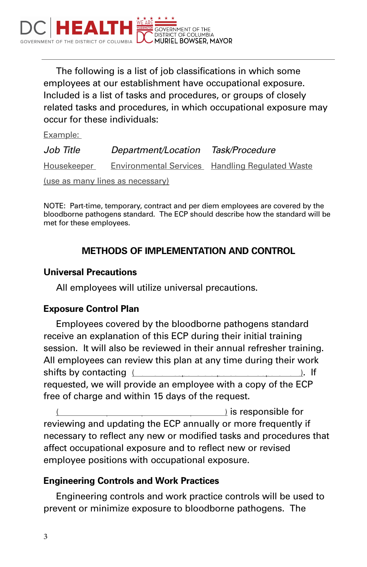

The following is a list of job classifications in which some employees at our establishment have occupational exposure. Included is a list of tasks and procedures, or groups of closely related tasks and procedures, in which occupational exposure may occur for these individuals:

Example:

| Job Title                        | Department/Location | Task/Procedure                                  |
|----------------------------------|---------------------|-------------------------------------------------|
| Housekeeper                      |                     | Environmental Services Handling Regulated Waste |
| (use as many lines as necessary) |                     |                                                 |

NOTE: Part-time, temporary, contract and per diem employees are covered by the bloodborne pathogens standard. The ECP should describe how the standard will be met for these employees.

# **METHODS OF IMPLEMENTATION AND CONTROL**

#### **Universal Precautions**

All employees will utilize universal precautions.

#### **Exposure Control Plan**

Employees covered by the bloodborne pathogens standard receive an explanation of this ECP during their initial training session. It will also be reviewed in their annual refresher training. All employees can review this plan at any time during their work shifts by contacting (Name of responsible person or department). If requested, we will provide an employee with a copy of the ECP free of charge and within 15 days of the request.

 $\theta$  is responsible for reviewing and updating the ECP annually or more frequently if necessary to reflect any new or modified tasks and procedures that affect occupational exposure and to reflect new or revised employee positions with occupational exposure.

# **Engineering Controls and Work Practices**

Engineering controls and work practice controls will be used to prevent or minimize exposure to bloodborne pathogens. The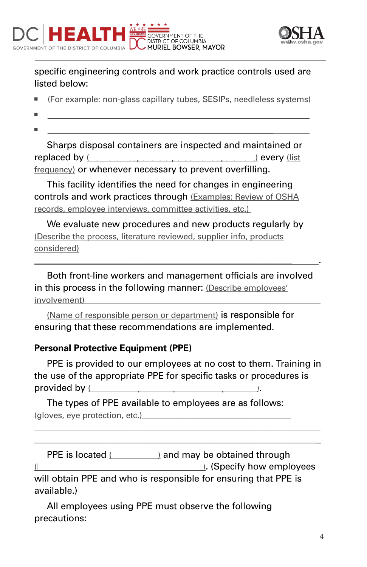



specific engineering controls and work practice controls used are listed below:

- (For example: non-glass capillary tubes, SESIPs, needleless systems)
- \_\_\_\_\_\_\_\_\_\_\_\_\_\_\_\_\_\_\_\_\_\_\_\_\_\_\_\_\_\_\_\_\_\_\_\_\_\_\_\_\_\_\_\_\_\_\_\_\_\_\_\_\_\_\_\_
- \_\_\_\_\_\_\_\_\_\_\_\_\_\_\_\_\_\_\_\_\_\_\_\_\_\_\_\_\_\_\_\_\_\_\_\_\_\_\_\_\_\_\_\_\_\_\_\_\_\_\_\_\_\_\_\_

Sharps disposal containers are inspected and maintained or replaced by (Name of responsible person or department) every (list frequency) or whenever necessary to prevent overfilling.

This facility identifies the need for changes in engineering controls and work practices through (Examples: Review of OSHA records, employee interviews, committee activities, etc.)

We evaluate new procedures and new products regularly by (Describe the process, literature reviewed, supplier info, products considered)

Both front-line workers and management officials are involved in this process in the following manner: (Describe employees' involvement)

\_\_\_\_\_\_\_\_\_\_\_\_\_\_\_\_\_\_\_\_\_\_\_\_\_\_\_\_\_\_\_\_\_\_\_\_\_\_\_\_\_\_\_\_\_\_\_\_\_\_\_\_\_\_\_\_\_\_\_\_\_\_\_\_ .

(Name of responsible person or department) is responsible for ensuring that these recommendations are implemented.

# **Personal Protective Equipment (PPE)**

PPE is provided to our employees at no cost to them. Training in the use of the appropriate PPE for specific tasks or procedures is provided by (

The types of PPE available to employees are as follows: (gloves, eve protection, etc.)

PPE is located (List List location) and may be obtained through (Name of the person of  $\mu$  (Specify how employees will obtain PPE and who is responsible for ensuring that PPE is available.)

\_\_\_\_\_\_\_\_\_\_\_\_\_\_\_\_\_\_\_\_\_\_\_\_\_\_\_\_\_\_\_\_\_\_\_\_\_\_\_\_\_\_\_\_\_\_\_\_\_\_\_\_\_\_\_\_\_\_\_\_\_\_\_\_\_\_\_\_\_\_\_ \_\_\_\_\_\_\_\_\_\_\_\_\_\_\_\_\_\_\_\_\_\_\_\_\_\_\_\_\_\_\_\_\_\_\_\_\_\_\_\_\_\_\_\_\_\_\_\_\_\_\_\_\_\_\_\_\_\_\_\_\_\_\_\_\_\_\_\_\_\_\_

All employees using PPE must observe the following precautions: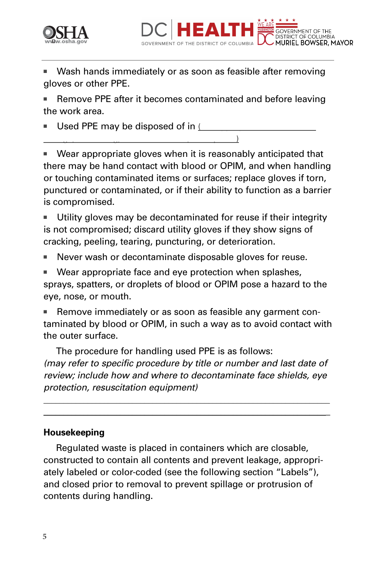



Wash hands immediately or as soon as feasible after removing gloves or other PPE.

Remove PPE after it becomes contaminated and before leaving the work area.

Used PPE may be disposed of in  $L$ 

storage, laundering, decontamination, or disposal.)

Wear appropriate gloves when it is reasonably anticipated that there may be hand contact with blood or OPIM, and when handling or touching contaminated items or surfaces; replace gloves if torn, punctured or contaminated, or if their ability to function as a barrier is compromised.

Utility gloves may be decontaminated for reuse if their integrity is not compromised; discard utility gloves if they show signs of cracking, peeling, tearing, puncturing, or deterioration.

Never wash or decontaminate disposable gloves for reuse.

Wear appropriate face and eye protection when splashes, sprays, spatters, or droplets of blood or OPIM pose a hazard to the eye, nose, or mouth.

Remove immediately or as soon as feasible any garment contaminated by blood or OPIM, in such a way as to avoid contact with the outer surface.

The procedure for handling used PPE is as follows: *(may refer to specific procedure by title or number and last date of review; include how and where to decontaminate face shields, eye protection, resuscitation equipment)*

\_\_\_\_\_\_\_\_\_\_\_\_\_\_\_\_\_\_\_\_\_\_\_\_\_\_\_\_\_\_\_\_\_\_\_\_\_\_\_\_\_\_\_\_\_\_\_\_\_\_\_\_\_\_\_\_\_\_\_\_\_\_\_\_\_\_\_\_\_\_\_ \_\_\_\_\_\_\_\_\_\_\_\_\_\_\_\_\_\_\_\_\_\_\_\_\_\_\_\_\_\_\_\_\_\_\_\_\_\_\_\_\_\_\_\_\_\_\_\_\_\_\_\_\_\_\_\_\_\_\_\_\_\_\_\_\_\_\_\_\_\_\_

#### **Housekeeping**

Regulated waste is placed in containers which are closable, constructed to contain all contents and prevent leakage, appropriately labeled or color-coded (see the following section "Labels"), and closed prior to removal to prevent spillage or protrusion of contents during handling.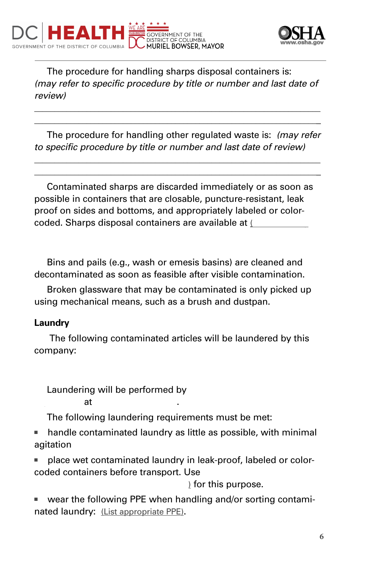



The procedure for handling sharps disposal containers is: *(may refer to specific procedure by title or number and last date of review)*

\_\_\_\_\_\_\_\_\_\_\_\_\_\_\_\_\_\_\_\_\_\_\_\_\_\_\_\_\_\_\_\_\_\_\_\_\_\_\_\_\_\_\_\_\_\_\_\_\_\_\_\_\_\_\_\_\_\_\_\_\_\_\_\_\_\_\_\_\_\_\_ \_\_\_\_\_\_\_\_\_\_\_\_\_\_\_\_\_\_\_\_\_\_\_\_\_\_\_\_\_\_\_\_\_\_\_\_\_\_\_\_\_\_\_\_\_\_\_\_\_\_\_\_\_\_\_\_\_\_\_\_\_\_\_\_\_\_\_\_\_\_\_

The procedure for handling other regulated waste is: *(may refer to specific procedure by title or number and last date of review)* 

\_\_\_\_\_\_\_\_\_\_\_\_\_\_\_\_\_\_\_\_\_\_\_\_\_\_\_\_\_\_\_\_\_\_\_\_\_\_\_\_\_\_\_\_\_\_\_\_\_\_\_\_\_\_\_\_\_\_\_\_\_\_\_\_\_\_\_\_\_\_\_ \_\_\_\_\_\_\_\_\_\_\_\_\_\_\_\_\_\_\_\_\_\_\_\_\_\_\_\_\_\_\_\_\_\_\_\_\_\_\_\_\_\_\_\_\_\_\_\_\_\_\_\_\_\_\_\_\_\_\_\_\_\_\_\_\_\_\_\_\_\_\_

Contaminated sharps are discarded immediately or as soon as possible in containers that are closable, puncture-resistant, leak proof on sides and bottoms, and appropriately labeled or colorcoded. Sharps disposal containers are available at (

Bins and pails (e.g., wash or emesis basins) are cleaned and decontaminated as soon as feasible after visible contamination.

Broken glassware that may be contaminated is only picked up using mechanical means, such as a brush and dustpan.

#### **Laundry**

The following contaminated articles will be laundered by this company:

Laundering will be performed by

department is a control or location). The control or location  $\mathcal{A}$ 

The following laundering requirements must be met:

handle contaminated laundry as little as possible, with minimal agitation

place wet contaminated laundry in leak-proof, labeled or colorcoded containers before transport. Use

) for this purpose.

wear the following PPE when handling and/or sorting contaminated laundry: (List appropriate PPE).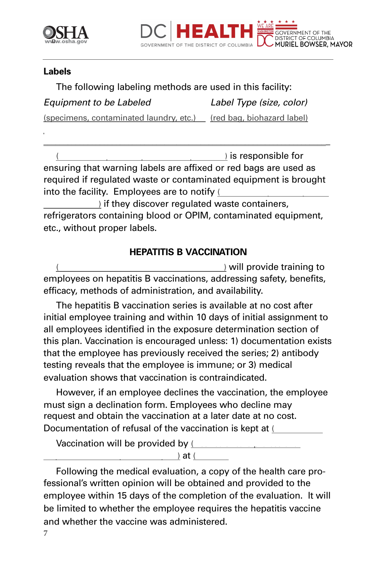



#### **Labels**

The following labeling methods are used in this facility: *Equipment to be Labeled Label Type (size, color)*  (specimens, contaminated laundry, etc.) (red bag, biohazard label)

 $\theta$  is responsible for ensuring that warning labels are affixed or red bags are used as required if regulated waste or contaminated equipment is brought into the facility. Employees are to notify (

\_\_\_\_\_\_\_\_\_\_\_\_\_\_\_\_\_\_\_\_\_\_\_\_\_\_\_\_\_\_\_\_\_\_\_\_\_\_\_\_\_\_\_\_\_\_\_\_\_\_\_\_\_\_\_\_\_\_\_\_\_\_\_\_\_\_\_\_\_\_\_

) if they discover regulated waste containers, refrigerators containing blood or OPIM, contaminated equipment, etc., without proper labels.

# **HEPATITIS B VACCINATION**

) will provide training to employees on hepatitis B vaccinations, addressing safety, benefits, efficacy, methods of administration, and availability.

The hepatitis B vaccination series is available at no cost after initial employee training and within 10 days of initial assignment to all employees identified in the exposure determination section of this plan. Vaccination is encouraged unless: 1) documentation exists that the employee has previously received the series; 2) antibody testing reveals that the employee is immune; or 3) medical evaluation shows that vaccination is contraindicated.

However, if an employee declines the vaccination, the employee must sign a declination form. Employees who decline may request and obtain the vaccination at a later date at no cost. Documentation of refusal of the vaccination is kept at (

Vaccination will be provided by (  $r = \frac{1}{2}$  at (

Following the medical evaluation, a copy of the health care professional's written opinion will be obtained and provided to the employee within 15 days of the completion of the evaluation. It will be limited to whether the employee requires the hepatitis vaccine and whether the vaccine was administered.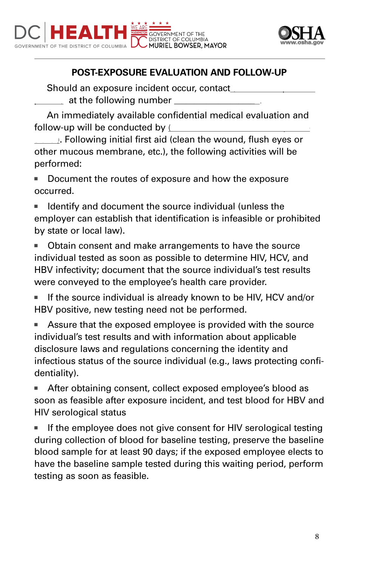



# **POST-EXPOSURE EVALUATION AND FOLLOW-UP**

Should an exposure incident occur, contact  $\_$  at the following number  $\_\_$ 

An immediately available confidential medical evaluation and follow-up will be conducted by  $\mathfrak l$ 

**Sional**. Following initial first aid (clean the wound, flush eyes or other mucous membrane, etc.), the following activities will be performed:

■ Document the routes of exposure and how the exposure occurred.

Identify and document the source individual (unless the employer can establish that identification is infeasible or prohibited by state or local law).

Obtain consent and make arrangements to have the source individual tested as soon as possible to determine HIV, HCV, and HBV infectivity; document that the source individual's test results were conveyed to the employee's health care provider.

If the source individual is already known to be HIV, HCV and/or HBV positive, new testing need not be performed.

■ Assure that the exposed employee is provided with the source individual's test results and with information about applicable disclosure laws and regulations concerning the identity and infectious status of the source individual (e.g., laws protecting confidentiality).

■ After obtaining consent, collect exposed employee's blood as soon as feasible after exposure incident, and test blood for HBV and HIV serological status

■ If the employee does not give consent for HIV serological testing during collection of blood for baseline testing, preserve the baseline blood sample for at least 90 days; if the exposed employee elects to have the baseline sample tested during this waiting period, perform testing as soon as feasible.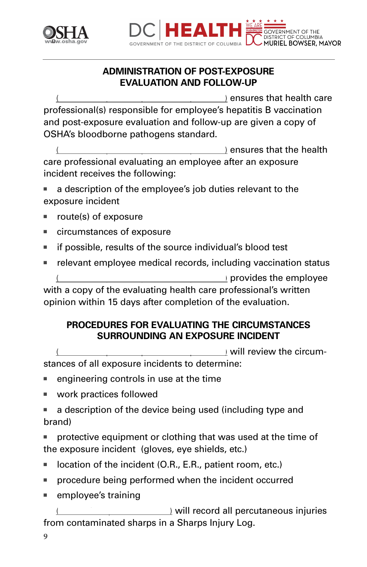



# **ADMINISTRATION OF POST-EXPOSURE EVALUATION AND FOLLOW-UP**

 $\theta$  ensures that health care professional(s) responsible for employee's hepatitis B vaccination and post-exposure evaluation and follow-up are given a copy of OSHA's bloodborne pathogens standard.

 $\ell$  ensures that the health care professional evaluating an employee after an exposure incident receives the following:

a description of the employee's job duties relevant to the exposure incident

- route(s) of exposure
- circumstances of exposure
- if possible, results of the source individual's blood test
- relevant employee medical records, including vaccination status (Name of responsible provides the employee

with a copy of the evaluating health care professional's written opinion within 15 days after completion of the evaluation.

#### **PROCEDURES FOR EVALUATING THE CIRCUMSTANCES SURROUNDING AN EXPOSURE INCIDENT**

 $\sqrt{N}$  will review the circum-

stances of all exposure incidents to determine:

- engineering controls in use at the time
- work practices followed
- a description of the device being used (including type and brand)

protective equipment or clothing that was used at the time of the exposure incident (gloves, eye shields, etc.)

- location of the incident (O.R., E.R., patient room, etc.)
- procedure being performed when the incident occurred
- employee's training

 $\Box$  will record all percutaneous injuries from contaminated sharps in a Sharps Injury Log.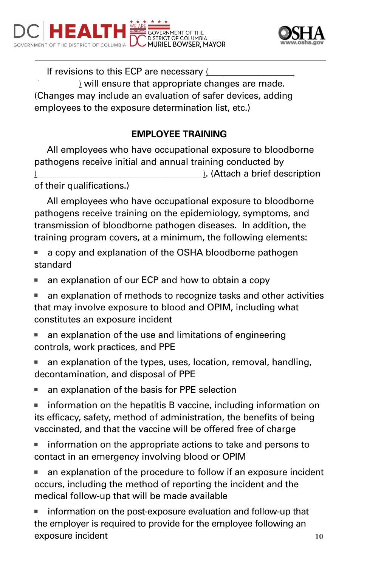



If revisions to this ECP are necessary (  $\alpha$  will ensure that appropriate changes are made. (Changes may include an evaluation of safer devices, adding employees to the exposure determination list, etc.)

# **EMPLOYEE TRAINING**

All employees who have occupational exposure to bloodborne pathogens receive initial and annual training conducted by ). (Attach a brief description of their qualifications.)

All employees who have occupational exposure to bloodborne pathogens receive training on the epidemiology, symptoms, and transmission of bloodborne pathogen diseases. In addition, the training program covers, at a minimum, the following elements:

- a copy and explanation of the OSHA bloodborne pathogen standard
- an explanation of our ECP and how to obtain a copy
- an explanation of methods to recognize tasks and other activities that may involve exposure to blood and OPIM, including what constitutes an exposure incident
- an explanation of the use and limitations of engineering controls, work practices, and PPE
- an explanation of the types, uses, location, removal, handling, decontamination, and disposal of PPE
- an explanation of the basis for PPE selection

■ information on the hepatitis B vaccine, including information on its efficacy, safety, method of administration, the benefits of being vaccinated, and that the vaccine will be offered free of charge

■ information on the appropriate actions to take and persons to contact in an emergency involving blood or OPIM

■ an explanation of the procedure to follow if an exposure incident occurs, including the method of reporting the incident and the medical follow-up that will be made available

information on the post-exposure evaluation and follow-up that the employer is required to provide for the employee following an exposure incident 10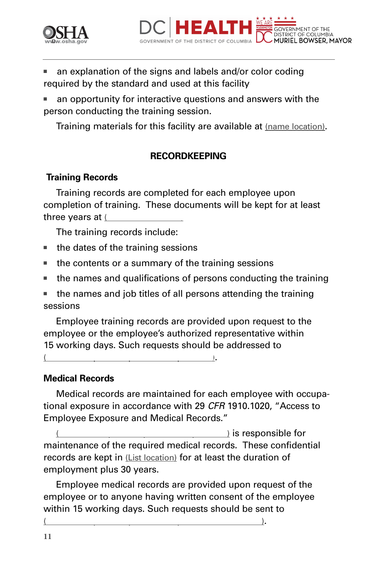



- an explanation of the signs and labels and/or color coding required by the standard and used at this facility
- an opportunity for interactive questions and answers with the person conducting the training session.

Training materials for this facility are available at (name location).

#### **RECORDKEEPING**

#### **Training Records**

Training records are completed for each employee upon completion of training. These documents will be kept for at least three years at  $L$ 

The training records include:

- the dates of the training sessions
- the contents or a summary of the training sessions
- the names and qualifications of persons conducting the training
- the names and job titles of all persons attending the training sessions

Employee training records are provided upon request to the employee or the employee's authorized representative within 15 working days. Such requests should be addressed to

(Name of responsible person or department).

#### **Medical Records**

Medical records are maintained for each employee with occupational exposure in accordance with 29 *CFR* 1910.1020, "Access to Employee Exposure and Medical Records."

 $\lambda$  is responsible for maintenance of the required medical records. These confidential records are kept in (List location) for at least the duration of employment plus 30 years.

Employee medical records are provided upon request of the employee or to anyone having written consent of the employee within 15 working days. Such requests should be sent to

 $($   $)$